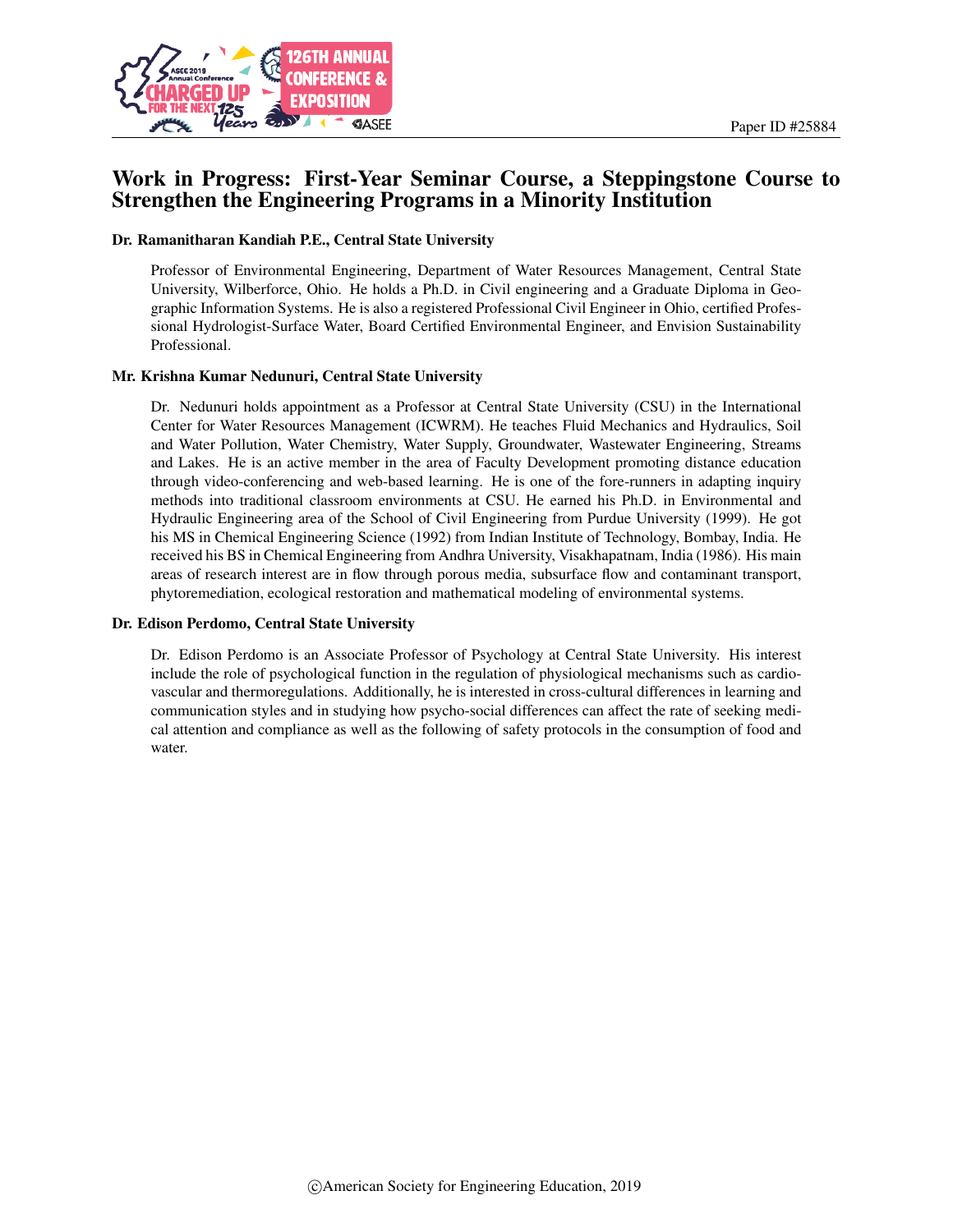

# Work in Progress: First-Year Seminar Course, a Steppingstone Course to Strengthen the Engineering Programs in a Minority Institution

#### Dr. Ramanitharan Kandiah P.E., Central State University

Professor of Environmental Engineering, Department of Water Resources Management, Central State University, Wilberforce, Ohio. He holds a Ph.D. in Civil engineering and a Graduate Diploma in Geographic Information Systems. He is also a registered Professional Civil Engineer in Ohio, certified Professional Hydrologist-Surface Water, Board Certified Environmental Engineer, and Envision Sustainability Professional.

#### Mr. Krishna Kumar Nedunuri, Central State University

Dr. Nedunuri holds appointment as a Professor at Central State University (CSU) in the International Center for Water Resources Management (ICWRM). He teaches Fluid Mechanics and Hydraulics, Soil and Water Pollution, Water Chemistry, Water Supply, Groundwater, Wastewater Engineering, Streams and Lakes. He is an active member in the area of Faculty Development promoting distance education through video-conferencing and web-based learning. He is one of the fore-runners in adapting inquiry methods into traditional classroom environments at CSU. He earned his Ph.D. in Environmental and Hydraulic Engineering area of the School of Civil Engineering from Purdue University (1999). He got his MS in Chemical Engineering Science (1992) from Indian Institute of Technology, Bombay, India. He received his BS in Chemical Engineering from Andhra University, Visakhapatnam, India (1986). His main areas of research interest are in flow through porous media, subsurface flow and contaminant transport, phytoremediation, ecological restoration and mathematical modeling of environmental systems.

#### Dr. Edison Perdomo, Central State University

Dr. Edison Perdomo is an Associate Professor of Psychology at Central State University. His interest include the role of psychological function in the regulation of physiological mechanisms such as cardiovascular and thermoregulations. Additionally, he is interested in cross-cultural differences in learning and communication styles and in studying how psycho-social differences can affect the rate of seeking medical attention and compliance as well as the following of safety protocols in the consumption of food and water.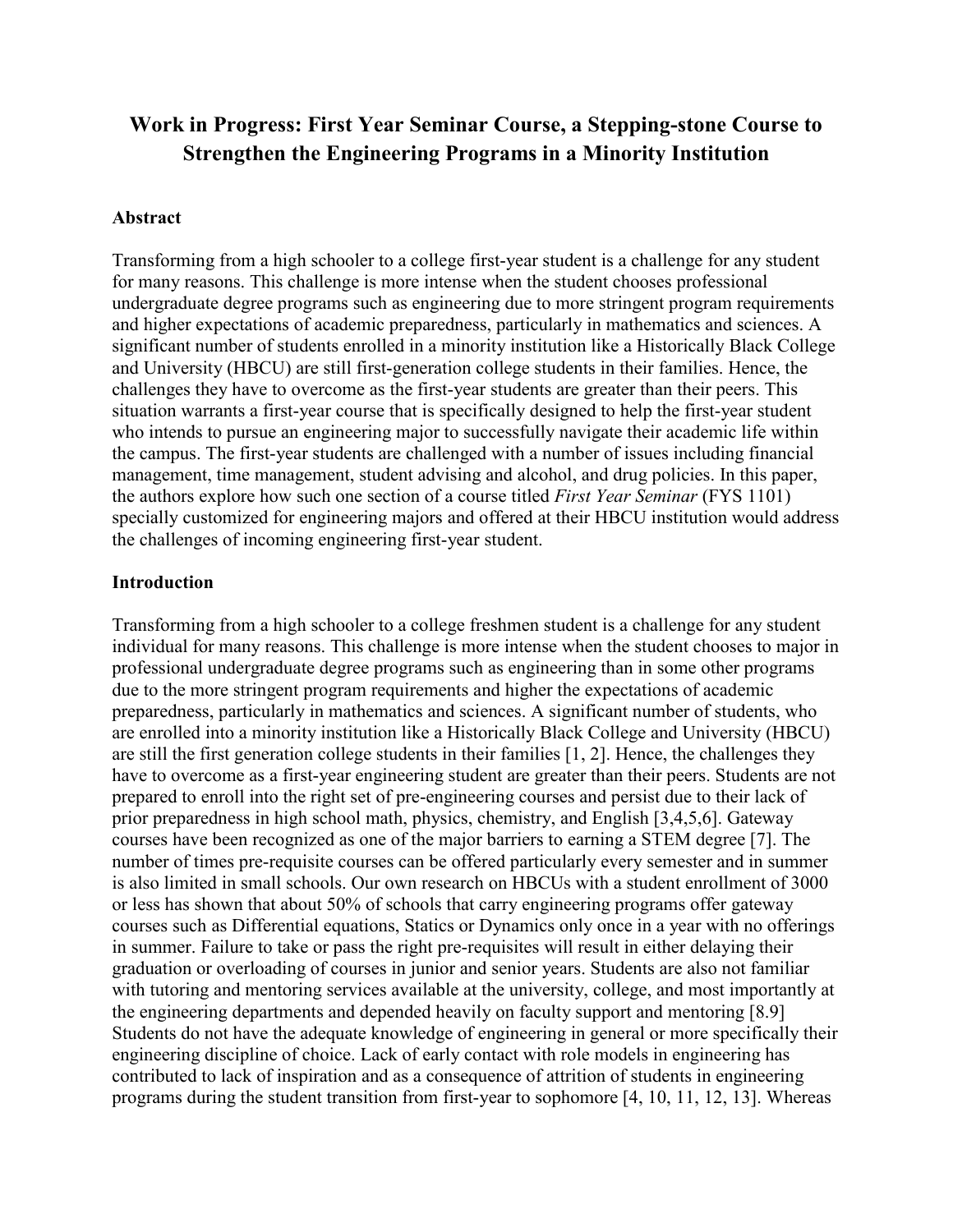# **Work in Progress: First Year Seminar Course, a Stepping-stone Course to Strengthen the Engineering Programs in a Minority Institution**

#### **Abstract**

Transforming from a high schooler to a college first-year student is a challenge for any student for many reasons. This challenge is more intense when the student chooses professional undergraduate degree programs such as engineering due to more stringent program requirements and higher expectations of academic preparedness, particularly in mathematics and sciences. A significant number of students enrolled in a minority institution like a Historically Black College and University (HBCU) are still first-generation college students in their families. Hence, the challenges they have to overcome as the first-year students are greater than their peers. This situation warrants a first-year course that is specifically designed to help the first-year student who intends to pursue an engineering major to successfully navigate their academic life within the campus. The first-year students are challenged with a number of issues including financial management, time management, student advising and alcohol, and drug policies. In this paper, the authors explore how such one section of a course titled *First Year Seminar* (FYS 1101) specially customized for engineering majors and offered at their HBCU institution would address the challenges of incoming engineering first-year student.

#### **Introduction**

Transforming from a high schooler to a college freshmen student is a challenge for any student individual for many reasons. This challenge is more intense when the student chooses to major in professional undergraduate degree programs such as engineering than in some other programs due to the more stringent program requirements and higher the expectations of academic preparedness, particularly in mathematics and sciences. A significant number of students, who are enrolled into a minority institution like a Historically Black College and University (HBCU) are still the first generation college students in their families [1, 2]. Hence, the challenges they have to overcome as a first-year engineering student are greater than their peers. Students are not prepared to enroll into the right set of pre-engineering courses and persist due to their lack of prior preparedness in high school math, physics, chemistry, and English [3,4,5,6]. Gateway courses have been recognized as one of the major barriers to earning a STEM degree [7]. The number of times pre-requisite courses can be offered particularly every semester and in summer is also limited in small schools. Our own research on HBCUs with a student enrollment of 3000 or less has shown that about 50% of schools that carry engineering programs offer gateway courses such as Differential equations, Statics or Dynamics only once in a year with no offerings in summer. Failure to take or pass the right pre-requisites will result in either delaying their graduation or overloading of courses in junior and senior years. Students are also not familiar with tutoring and mentoring services available at the university, college, and most importantly at the engineering departments and depended heavily on faculty support and mentoring [8.9] Students do not have the adequate knowledge of engineering in general or more specifically their engineering discipline of choice. Lack of early contact with role models in engineering has contributed to lack of inspiration and as a consequence of attrition of students in engineering programs during the student transition from first-year to sophomore [4, 10, 11, 12, 13]. Whereas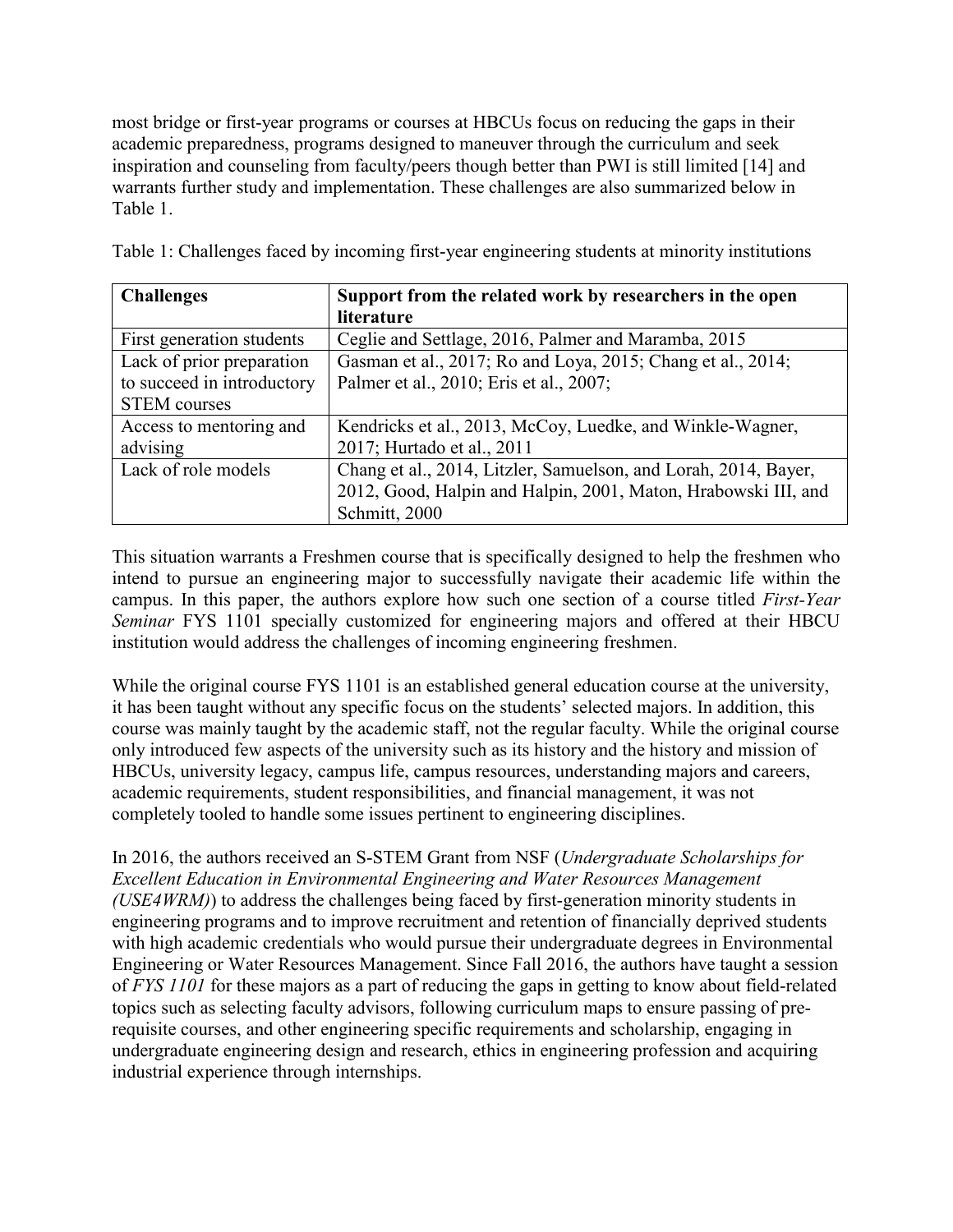most bridge or first-year programs or courses at HBCUs focus on reducing the gaps in their academic preparedness, programs designed to maneuver through the curriculum and seek inspiration and counseling from faculty/peers though better than PWI is still limited [14] and warrants further study and implementation. These challenges are also summarized below in Table 1.

|  |  |  | Table 1: Challenges faced by incoming first-year engineering students at minority institutions |
|--|--|--|------------------------------------------------------------------------------------------------|
|  |  |  |                                                                                                |

| <b>Challenges</b>          | Support from the related work by researchers in the open        |  |  |
|----------------------------|-----------------------------------------------------------------|--|--|
|                            | literature                                                      |  |  |
| First generation students  | Ceglie and Settlage, 2016, Palmer and Maramba, 2015             |  |  |
| Lack of prior preparation  | Gasman et al., 2017; Ro and Loya, 2015; Chang et al., 2014;     |  |  |
| to succeed in introductory | Palmer et al., 2010; Eris et al., 2007;                         |  |  |
| <b>STEM</b> courses        |                                                                 |  |  |
| Access to mentoring and    | Kendricks et al., 2013, McCoy, Luedke, and Winkle-Wagner,       |  |  |
| advising                   | 2017; Hurtado et al., 2011                                      |  |  |
| Lack of role models        | Chang et al., 2014, Litzler, Samuelson, and Lorah, 2014, Bayer, |  |  |
|                            | 2012, Good, Halpin and Halpin, 2001, Maton, Hrabowski III, and  |  |  |
|                            | Schmitt, 2000                                                   |  |  |

This situation warrants a Freshmen course that is specifically designed to help the freshmen who intend to pursue an engineering major to successfully navigate their academic life within the campus. In this paper, the authors explore how such one section of a course titled *First-Year Seminar* FYS 1101 specially customized for engineering majors and offered at their HBCU institution would address the challenges of incoming engineering freshmen.

While the original course FYS 1101 is an established general education course at the university, it has been taught without any specific focus on the students' selected majors. In addition, this course was mainly taught by the academic staff, not the regular faculty. While the original course only introduced few aspects of the university such as its history and the history and mission of HBCUs, university legacy, campus life, campus resources, understanding majors and careers, academic requirements, student responsibilities, and financial management, it was not completely tooled to handle some issues pertinent to engineering disciplines.

In 2016, the authors received an S-STEM Grant from NSF (*Undergraduate Scholarships for Excellent Education in Environmental Engineering and Water Resources Management (USE4WRM)*) to address the challenges being faced by first-generation minority students in engineering programs and to improve recruitment and retention of financially deprived students with high academic credentials who would pursue their undergraduate degrees in Environmental Engineering or Water Resources Management. Since Fall 2016, the authors have taught a session of *FYS 1101* for these majors as a part of reducing the gaps in getting to know about field-related topics such as selecting faculty advisors, following curriculum maps to ensure passing of prerequisite courses, and other engineering specific requirements and scholarship, engaging in undergraduate engineering design and research, ethics in engineering profession and acquiring industrial experience through internships.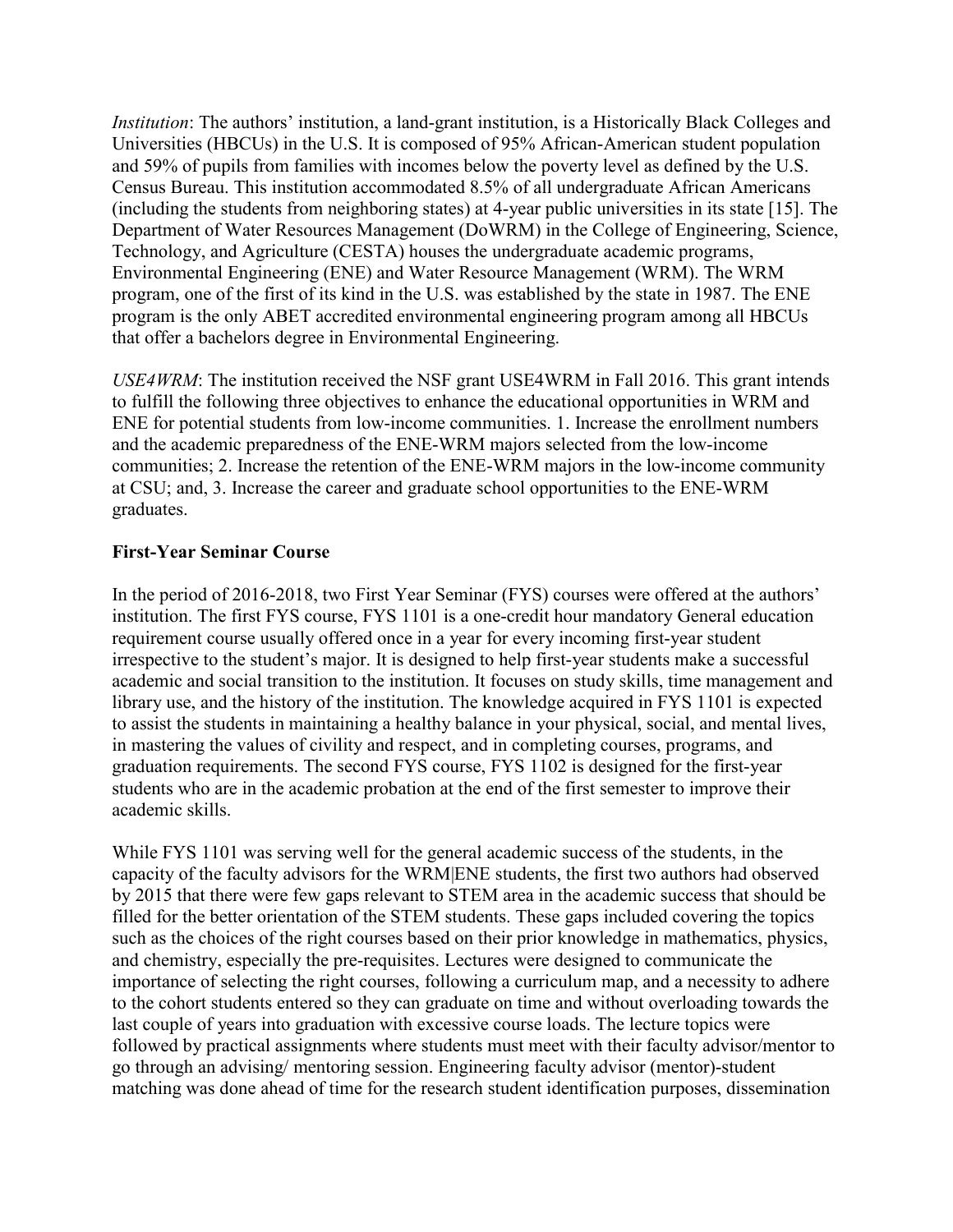*Institution*: The authors' institution, a land-grant institution, is a Historically Black Colleges and Universities (HBCUs) in the U.S. It is composed of 95% African-American student population and 59% of pupils from families with incomes below the poverty level as defined by the U.S. Census Bureau. This institution accommodated 8.5% of all undergraduate African Americans (including the students from neighboring states) at 4-year public universities in its state [15]. The Department of Water Resources Management (DoWRM) in the College of Engineering, Science, Technology, and Agriculture (CESTA) houses the undergraduate academic programs, Environmental Engineering (ENE) and Water Resource Management (WRM). The WRM program, one of the first of its kind in the U.S. was established by the state in 1987. The ENE program is the only ABET accredited environmental engineering program among all HBCUs that offer a bachelors degree in Environmental Engineering.

*USE4WRM*: The institution received the NSF grant USE4WRM in Fall 2016. This grant intends to fulfill the following three objectives to enhance the educational opportunities in WRM and ENE for potential students from low-income communities. 1. Increase the enrollment numbers and the academic preparedness of the ENE-WRM majors selected from the low-income communities; 2. Increase the retention of the ENE-WRM majors in the low-income community at CSU; and, 3. Increase the career and graduate school opportunities to the ENE-WRM graduates.

## **First-Year Seminar Course**

In the period of 2016-2018, two First Year Seminar (FYS) courses were offered at the authors' institution. The first FYS course, FYS 1101 is a one-credit hour mandatory General education requirement course usually offered once in a year for every incoming first-year student irrespective to the student's major. It is designed to help first-year students make a successful academic and social transition to the institution. It focuses on study skills, time management and library use, and the history of the institution. The knowledge acquired in FYS 1101 is expected to assist the students in maintaining a healthy balance in your physical, social, and mental lives, in mastering the values of civility and respect, and in completing courses, programs, and graduation requirements. The second FYS course, FYS 1102 is designed for the first-year students who are in the academic probation at the end of the first semester to improve their academic skills.

While FYS 1101 was serving well for the general academic success of the students, in the capacity of the faculty advisors for the WRM|ENE students, the first two authors had observed by 2015 that there were few gaps relevant to STEM area in the academic success that should be filled for the better orientation of the STEM students. These gaps included covering the topics such as the choices of the right courses based on their prior knowledge in mathematics, physics, and chemistry, especially the pre-requisites. Lectures were designed to communicate the importance of selecting the right courses, following a curriculum map, and a necessity to adhere to the cohort students entered so they can graduate on time and without overloading towards the last couple of years into graduation with excessive course loads. The lecture topics were followed by practical assignments where students must meet with their faculty advisor/mentor to go through an advising/ mentoring session. Engineering faculty advisor (mentor)-student matching was done ahead of time for the research student identification purposes, dissemination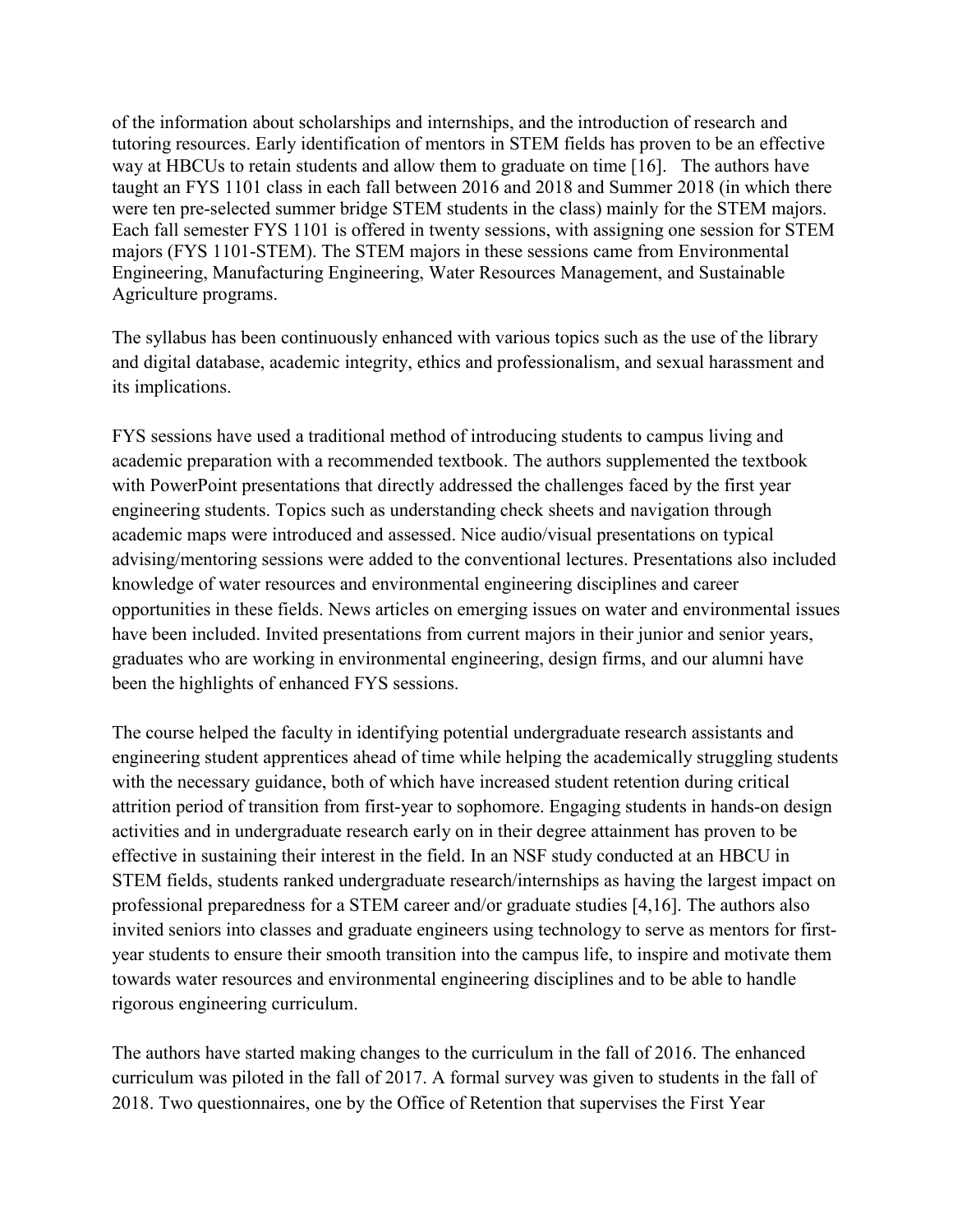of the information about scholarships and internships, and the introduction of research and tutoring resources. Early identification of mentors in STEM fields has proven to be an effective way at HBCUs to retain students and allow them to graduate on time [16]. The authors have taught an FYS 1101 class in each fall between 2016 and 2018 and Summer 2018 (in which there were ten pre-selected summer bridge STEM students in the class) mainly for the STEM majors. Each fall semester FYS 1101 is offered in twenty sessions, with assigning one session for STEM majors (FYS 1101-STEM). The STEM majors in these sessions came from Environmental Engineering, Manufacturing Engineering, Water Resources Management, and Sustainable Agriculture programs.

The syllabus has been continuously enhanced with various topics such as the use of the library and digital database, academic integrity, ethics and professionalism, and sexual harassment and its implications.

FYS sessions have used a traditional method of introducing students to campus living and academic preparation with a recommended textbook. The authors supplemented the textbook with PowerPoint presentations that directly addressed the challenges faced by the first year engineering students. Topics such as understanding check sheets and navigation through academic maps were introduced and assessed. Nice audio/visual presentations on typical advising/mentoring sessions were added to the conventional lectures. Presentations also included knowledge of water resources and environmental engineering disciplines and career opportunities in these fields. News articles on emerging issues on water and environmental issues have been included. Invited presentations from current majors in their junior and senior years, graduates who are working in environmental engineering, design firms, and our alumni have been the highlights of enhanced FYS sessions.

The course helped the faculty in identifying potential undergraduate research assistants and engineering student apprentices ahead of time while helping the academically struggling students with the necessary guidance, both of which have increased student retention during critical attrition period of transition from first-year to sophomore. Engaging students in hands-on design activities and in undergraduate research early on in their degree attainment has proven to be effective in sustaining their interest in the field. In an NSF study conducted at an HBCU in STEM fields, students ranked undergraduate research/internships as having the largest impact on professional preparedness for a STEM career and/or graduate studies [4,16]. The authors also invited seniors into classes and graduate engineers using technology to serve as mentors for firstyear students to ensure their smooth transition into the campus life, to inspire and motivate them towards water resources and environmental engineering disciplines and to be able to handle rigorous engineering curriculum.

The authors have started making changes to the curriculum in the fall of 2016. The enhanced curriculum was piloted in the fall of 2017. A formal survey was given to students in the fall of 2018. Two questionnaires, one by the Office of Retention that supervises the First Year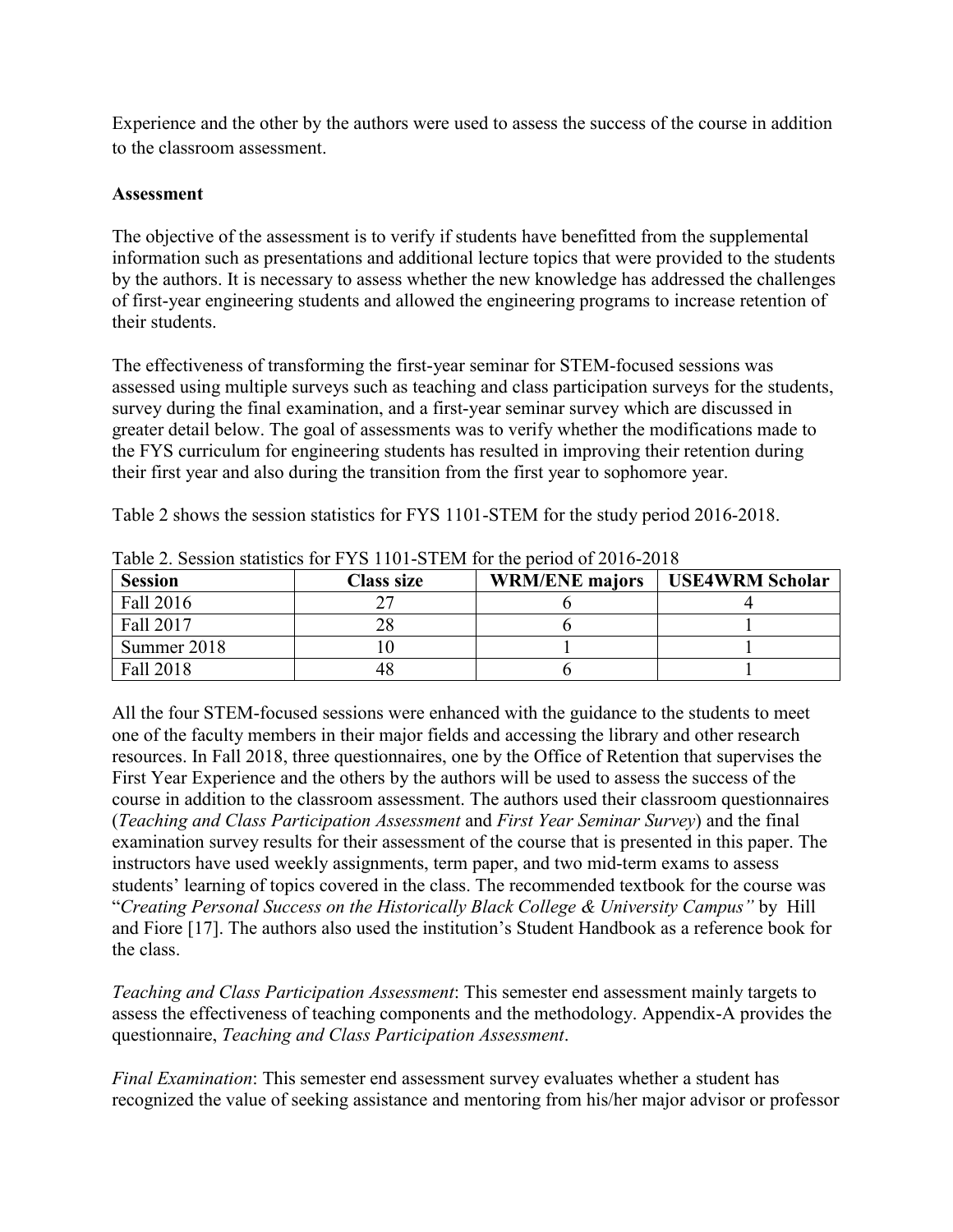Experience and the other by the authors were used to assess the success of the course in addition to the classroom assessment.

## **Assessment**

The objective of the assessment is to verify if students have benefitted from the supplemental information such as presentations and additional lecture topics that were provided to the students by the authors. It is necessary to assess whether the new knowledge has addressed the challenges of first-year engineering students and allowed the engineering programs to increase retention of their students.

The effectiveness of transforming the first-year seminar for STEM-focused sessions was assessed using multiple surveys such as teaching and class participation surveys for the students, survey during the final examination, and a first-year seminar survey which are discussed in greater detail below. The goal of assessments was to verify whether the modifications made to the FYS curriculum for engineering students has resulted in improving their retention during their first year and also during the transition from the first year to sophomore year.

Table 2 shows the session statistics for FYS 1101-STEM for the study period 2016-2018.

| <b>Session</b> | <b>Class size</b> | <b>WRM/ENE</b> majors | <b>USE4WRM Scholar</b> |
|----------------|-------------------|-----------------------|------------------------|
| Fall 2016      | רי                |                       |                        |
| Fall 2017      | 28                |                       |                        |
| Summer 2018    |                   |                       |                        |
| Fall 2018      | 48                |                       |                        |

Table 2. Session statistics for FYS 1101-STEM for the period of 2016-2018

All the four STEM-focused sessions were enhanced with the guidance to the students to meet one of the faculty members in their major fields and accessing the library and other research resources. In Fall 2018, three questionnaires, one by the Office of Retention that supervises the First Year Experience and the others by the authors will be used to assess the success of the course in addition to the classroom assessment. The authors used their classroom questionnaires (*Teaching and Class Participation Assessment* and *First Year Seminar Survey*) and the final examination survey results for their assessment of the course that is presented in this paper. The instructors have used weekly assignments, term paper, and two mid-term exams to assess students' learning of topics covered in the class. The recommended textbook for the course was "*Creating Personal Success on the Historically Black College & University Campus"* by Hill and Fiore [17]. The authors also used the institution's Student Handbook as a reference book for the class.

*Teaching and Class Participation Assessment*: This semester end assessment mainly targets to assess the effectiveness of teaching components and the methodology. Appendix-A provides the questionnaire, *Teaching and Class Participation Assessment*.

*Final Examination*: This semester end assessment survey evaluates whether a student has recognized the value of seeking assistance and mentoring from his/her major advisor or professor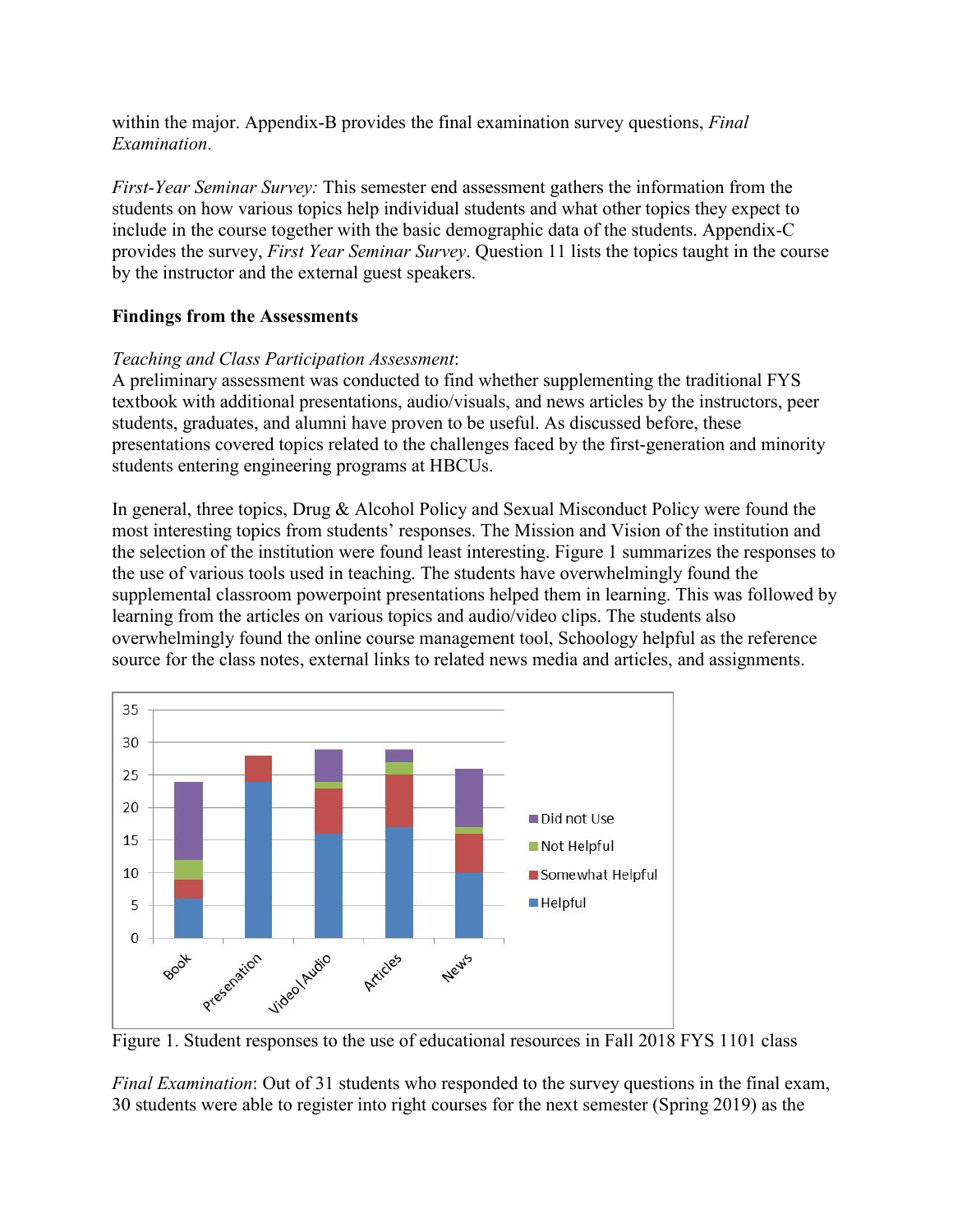within the major. Appendix-B provides the final examination survey questions, *Final Examination*.

*First-Year Seminar Survey:* This semester end assessment gathers the information from the students on how various topics help individual students and what other topics they expect to include in the course together with the basic demographic data of the students. Appendix-C provides the survey, *First Year Seminar Survey*. Question 11 lists the topics taught in the course by the instructor and the external guest speakers.

## **Findings from the Assessments**

#### *Teaching and Class Participation Assessment*:

A preliminary assessment was conducted to find whether supplementing the traditional FYS textbook with additional presentations, audio/visuals, and news articles by the instructors, peer students, graduates, and alumni have proven to be useful. As discussed before, these presentations covered topics related to the challenges faced by the first-generation and minority students entering engineering programs at HBCUs.

In general, three topics, Drug & Alcohol Policy and Sexual Misconduct Policy were found the most interesting topics from students' responses. The Mission and Vision of the institution and the selection of the institution were found least interesting. Figure 1 summarizes the responses to the use of various tools used in teaching. The students have overwhelmingly found the supplemental classroom powerpoint presentations helped them in learning. This was followed by learning from the articles on various topics and audio/video clips. The students also overwhelmingly found the online course management tool, Schoology helpful as the reference source for the class notes, external links to related news media and articles, and assignments.



Figure 1. Student responses to the use of educational resources in Fall 2018 FYS 1101 class

*Final Examination*: Out of 31 students who responded to the survey questions in the final exam, 30 students were able to register into right courses for the next semester (Spring 2019) as the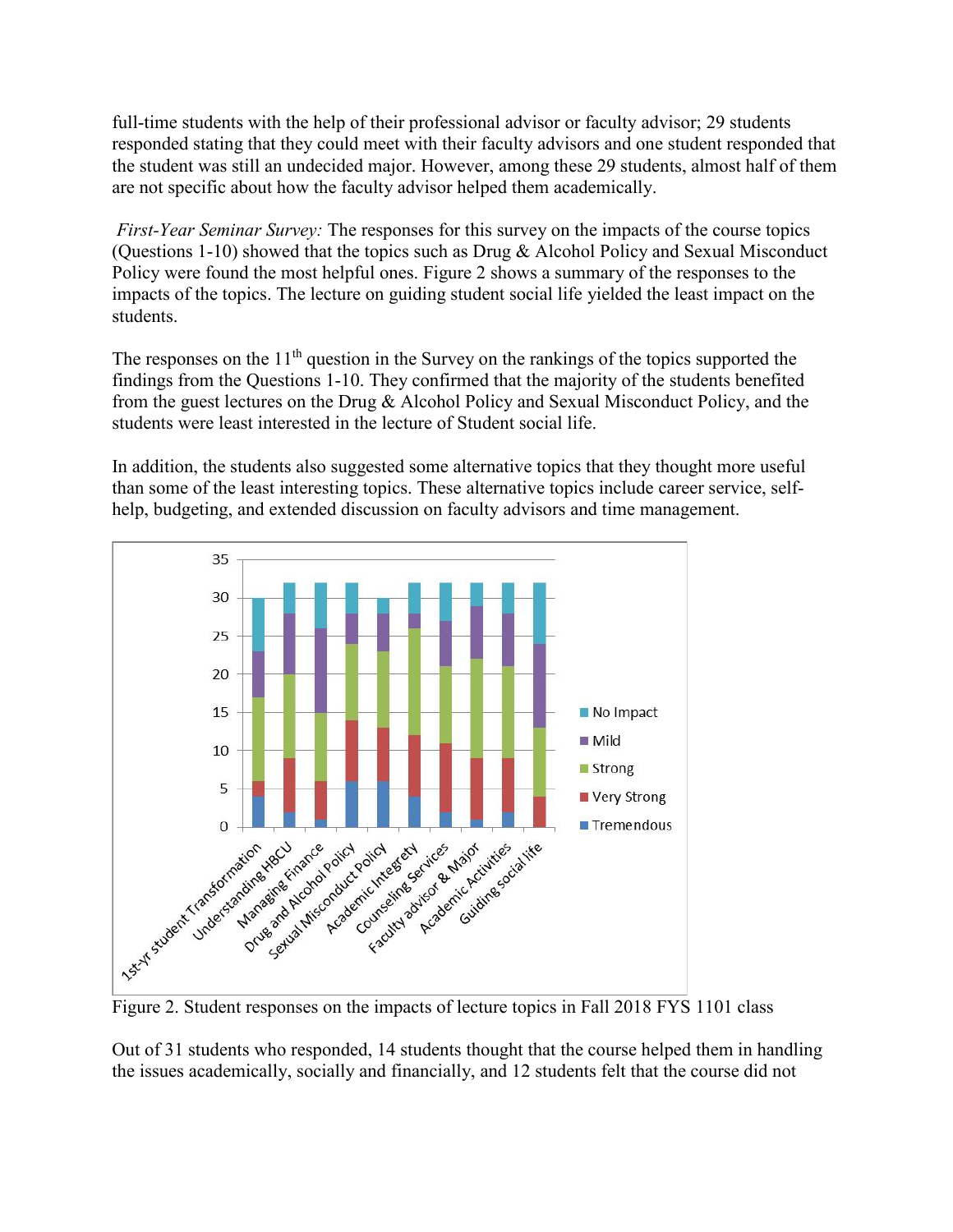full-time students with the help of their professional advisor or faculty advisor; 29 students responded stating that they could meet with their faculty advisors and one student responded that the student was still an undecided major. However, among these 29 students, almost half of them are not specific about how the faculty advisor helped them academically.

*First-Year Seminar Survey:* The responses for this survey on the impacts of the course topics (Questions 1-10) showed that the topics such as Drug & Alcohol Policy and Sexual Misconduct Policy were found the most helpful ones. Figure 2 shows a summary of the responses to the impacts of the topics. The lecture on guiding student social life yielded the least impact on the students.

The responses on the  $11<sup>th</sup>$  question in the Survey on the rankings of the topics supported the findings from the Questions 1-10. They confirmed that the majority of the students benefited from the guest lectures on the Drug & Alcohol Policy and Sexual Misconduct Policy, and the students were least interested in the lecture of Student social life.

In addition, the students also suggested some alternative topics that they thought more useful than some of the least interesting topics. These alternative topics include career service, selfhelp, budgeting, and extended discussion on faculty advisors and time management.



Out of 31 students who responded, 14 students thought that the course helped them in handling the issues academically, socially and financially, and 12 students felt that the course did not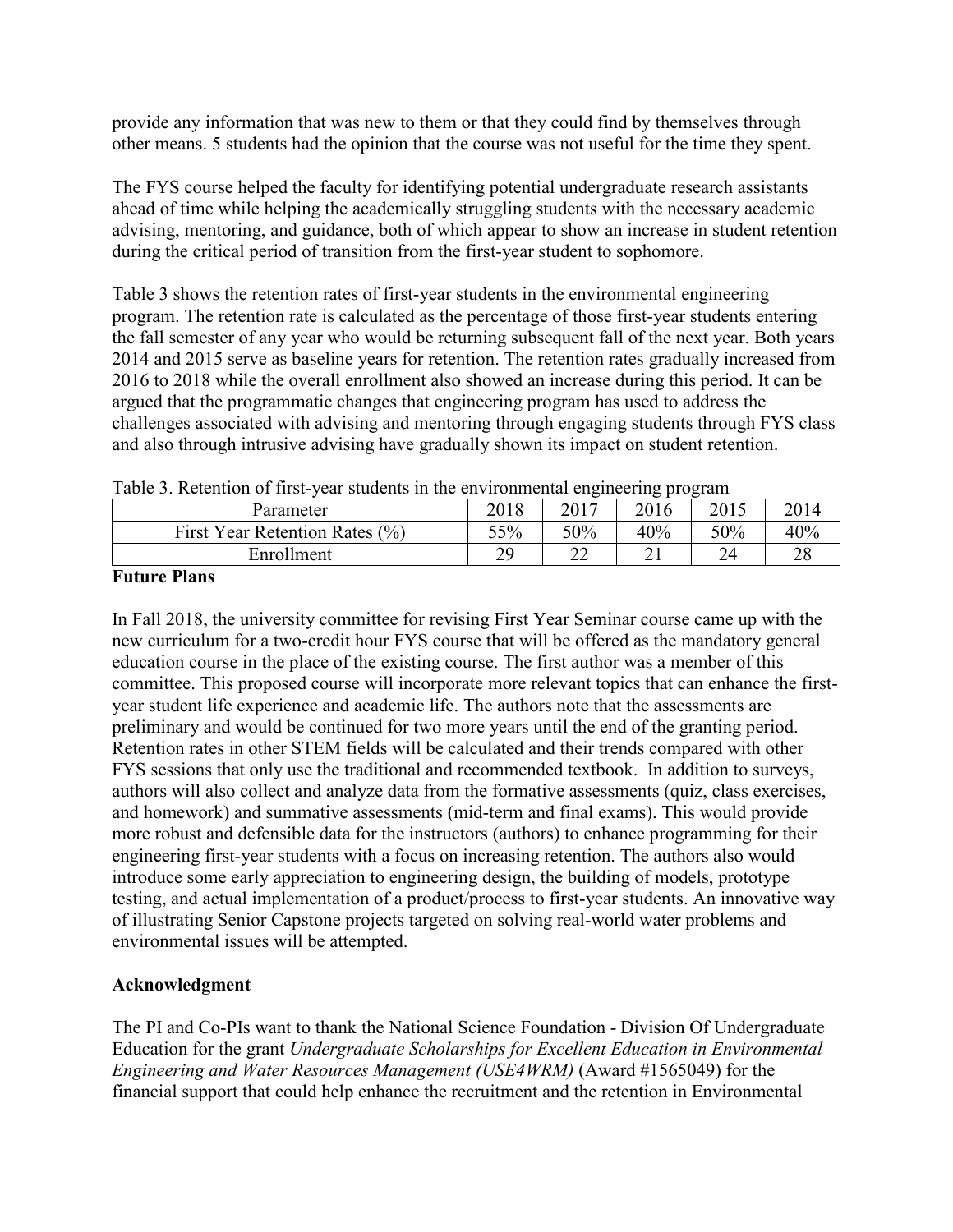provide any information that was new to them or that they could find by themselves through other means. 5 students had the opinion that the course was not useful for the time they spent.

The FYS course helped the faculty for identifying potential undergraduate research assistants ahead of time while helping the academically struggling students with the necessary academic advising, mentoring, and guidance, both of which appear to show an increase in student retention during the critical period of transition from the first-year student to sophomore.

Table 3 shows the retention rates of first-year students in the environmental engineering program. The retention rate is calculated as the percentage of those first-year students entering the fall semester of any year who would be returning subsequent fall of the next year. Both years 2014 and 2015 serve as baseline years for retention. The retention rates gradually increased from 2016 to 2018 while the overall enrollment also showed an increase during this period. It can be argued that the programmatic changes that engineering program has used to address the challenges associated with advising and mentoring through engaging students through FYS class and also through intrusive advising have gradually shown its impact on student retention.

| Table 5. Retention of first-year students in the environmental engineering program |      |               |      |      |      |  |  |
|------------------------------------------------------------------------------------|------|---------------|------|------|------|--|--|
| Parameter                                                                          | 2018 | 2017          | 2016 | 2015 | 2014 |  |  |
| First Year Retention Rates (%)                                                     | 55%  | 50%           | 40%  | 50%  | 40%  |  |  |
| Enrollment                                                                         | 29   | $\mathcal{D}$ |      |      |      |  |  |

|  |  | Table 3. Retention of first-year students in the environmental engineering program |  |
|--|--|------------------------------------------------------------------------------------|--|
|  |  |                                                                                    |  |

#### **Future Plans**

In Fall 2018, the university committee for revising First Year Seminar course came up with the new curriculum for a two-credit hour FYS course that will be offered as the mandatory general education course in the place of the existing course. The first author was a member of this committee. This proposed course will incorporate more relevant topics that can enhance the firstyear student life experience and academic life. The authors note that the assessments are preliminary and would be continued for two more years until the end of the granting period. Retention rates in other STEM fields will be calculated and their trends compared with other FYS sessions that only use the traditional and recommended textbook. In addition to surveys, authors will also collect and analyze data from the formative assessments (quiz, class exercises, and homework) and summative assessments (mid-term and final exams). This would provide more robust and defensible data for the instructors (authors) to enhance programming for their engineering first-year students with a focus on increasing retention. The authors also would introduce some early appreciation to engineering design, the building of models, prototype testing, and actual implementation of a product/process to first-year students. An innovative way of illustrating Senior Capstone projects targeted on solving real-world water problems and environmental issues will be attempted.

#### **Acknowledgment**

The PI and Co-PIs want to thank the National Science Foundation - Division Of Undergraduate Education for the grant *Undergraduate Scholarships for Excellent Education in Environmental Engineering and Water Resources Management (USE4WRM)* (Award #1565049) for the financial support that could help enhance the recruitment and the retention in Environmental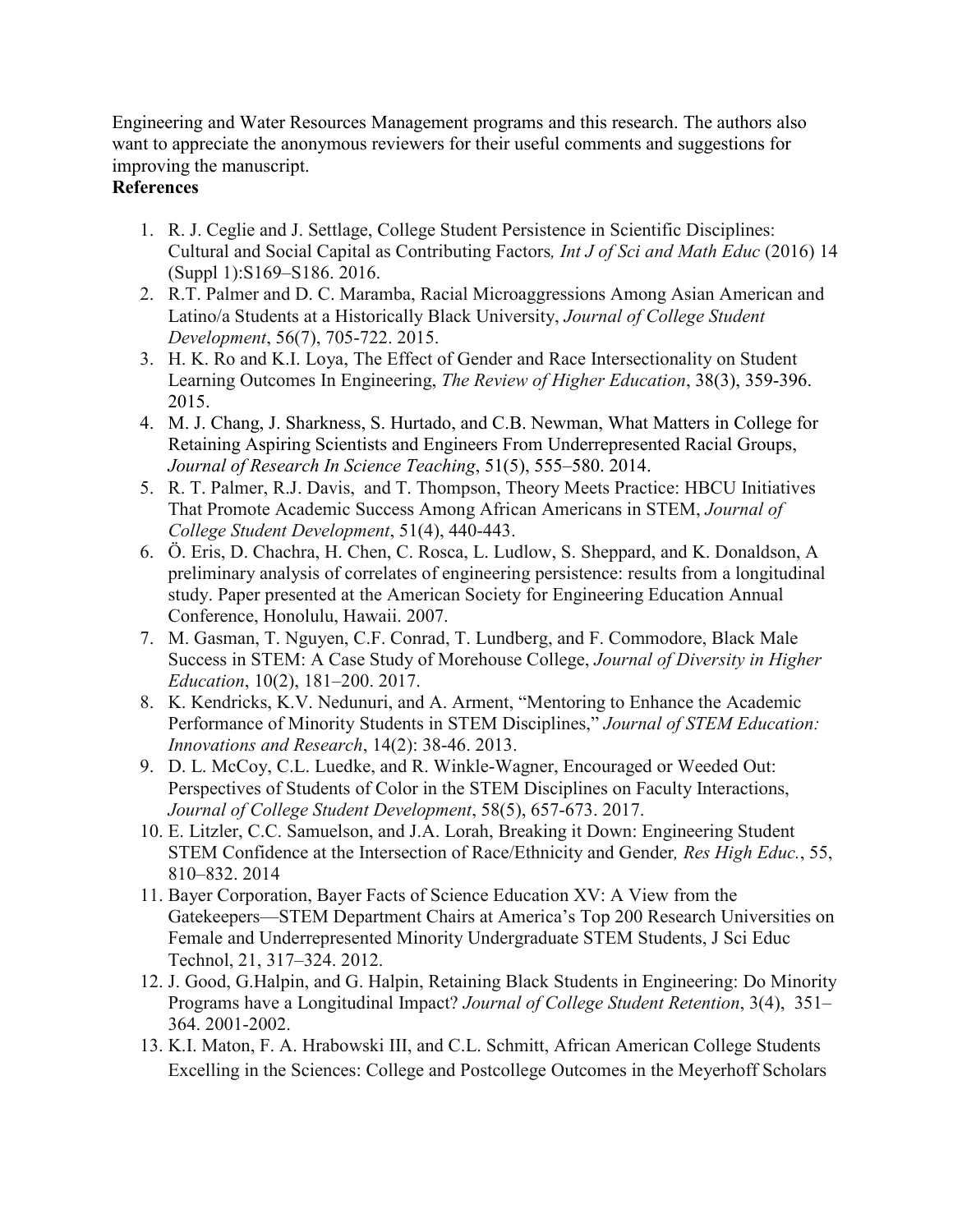Engineering and Water Resources Management programs and this research. The authors also want to appreciate the anonymous reviewers for their useful comments and suggestions for improving the manuscript.

# **References**

- 1. R. J. Ceglie and J. Settlage, College Student Persistence in Scientific Disciplines: Cultural and Social Capital as Contributing Factors*, Int J of Sci and Math Educ* (2016) 14 (Suppl 1):S169–S186. 2016.
- 2. R.T. Palmer and D. C. Maramba, Racial Microaggressions Among Asian American and Latino/a Students at a Historically Black University, *Journal of College Student Development*, 56(7), 705-722. 2015.
- 3. H. K. Ro and K.I. Loya, The Effect of Gender and Race Intersectionality on Student Learning Outcomes In Engineering, *The Review of Higher Education*, 38(3), 359-396. 2015.
- 4. M. J. Chang, J. Sharkness, S. Hurtado, and C.B. Newman, What Matters in College for Retaining Aspiring Scientists and Engineers From Underrepresented Racial Groups, *Journal of Research In Science Teaching*, 51(5), 555–580. 2014.
- 5. R. T. Palmer, R.J. Davis, and T. Thompson, Theory Meets Practice: HBCU Initiatives That Promote Academic Success Among African Americans in STEM, *Journal of College Student Development*, 51(4), 440-443.
- 6. Ö. Eris, D. Chachra, H. Chen, C. Rosca, L. Ludlow, S. Sheppard, and K. Donaldson, A preliminary analysis of correlates of engineering persistence: results from a longitudinal study. Paper presented at the American Society for Engineering Education Annual Conference, Honolulu, Hawaii. 2007.
- 7. M. Gasman, T. Nguyen, C.F. Conrad, T. Lundberg, and F. Commodore, Black Male Success in STEM: A Case Study of Morehouse College, *Journal of Diversity in Higher Education*, 10(2), 181–200. 2017.
- 8. K. Kendricks, K.V. Nedunuri, and A. Arment, "Mentoring to Enhance the Academic Performance of Minority Students in STEM Disciplines," *Journal of STEM Education: Innovations and Research*, 14(2): 38-46. 2013.
- 9. D. L. McCoy, C.L. Luedke, and R. Winkle-Wagner, Encouraged or Weeded Out: Perspectives of Students of Color in the STEM Disciplines on Faculty Interactions, *Journal of College Student Development*, 58(5), 657-673. 2017.
- 10. E. Litzler, C.C. Samuelson, and J.A. Lorah, Breaking it Down: Engineering Student STEM Confidence at the Intersection of Race/Ethnicity and Gender*, Res High Educ.*, 55, 810–832. 2014
- 11. Bayer Corporation, Bayer Facts of Science Education XV: A View from the Gatekeepers—STEM Department Chairs at America's Top 200 Research Universities on Female and Underrepresented Minority Undergraduate STEM Students, J Sci Educ Technol, 21, 317–324. 2012.
- 12. J. Good, G.Halpin, and G. Halpin, Retaining Black Students in Engineering: Do Minority Programs have a Longitudinal Impact? *Journal of College Student Retention*, 3(4), 351– 364. 2001-2002.
- 13. K.I. Maton, F. A. Hrabowski III, and C.L. Schmitt, African American College Students Excelling in the Sciences: College and Postcollege Outcomes in the Meyerhoff Scholars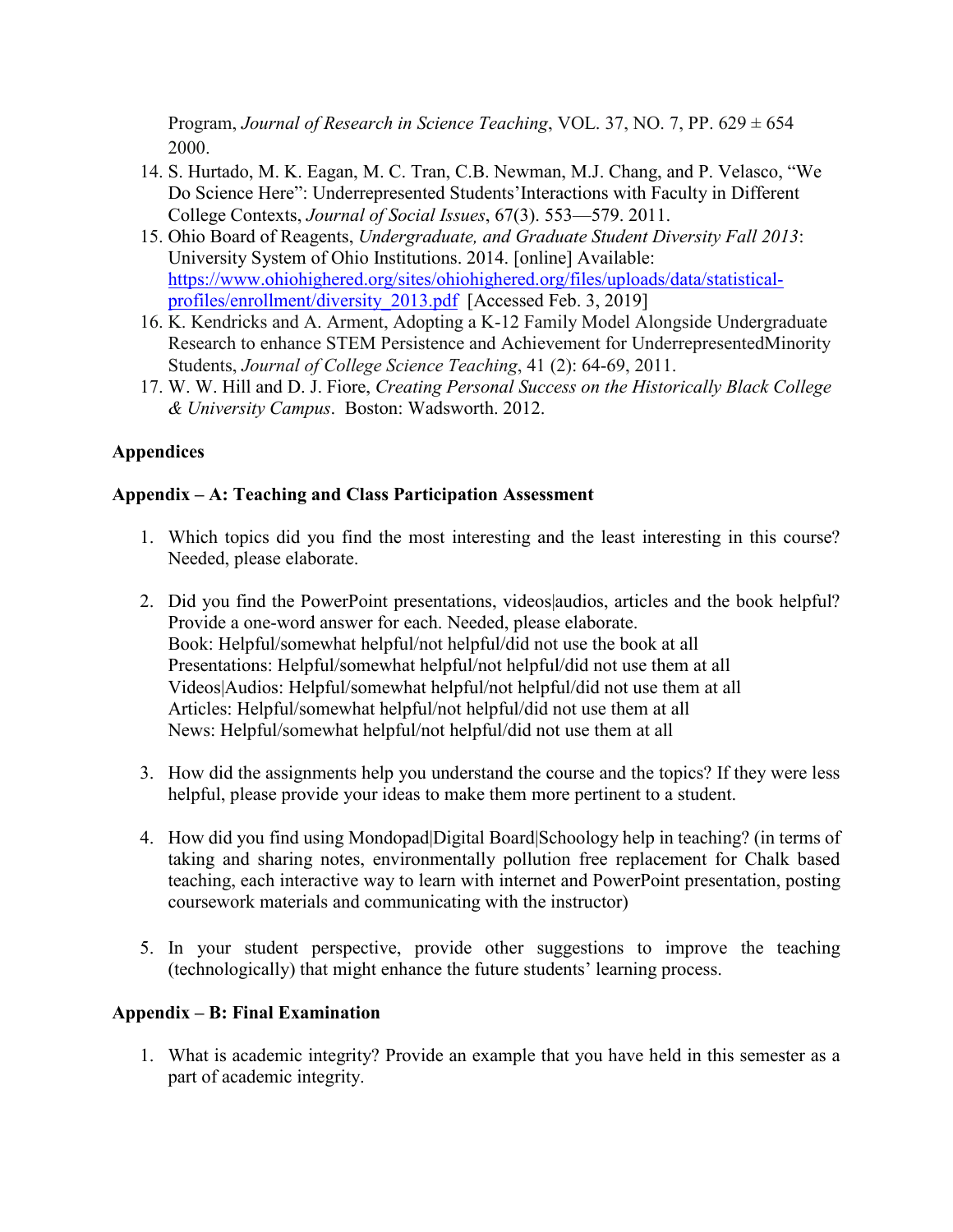Program, *Journal of Research in Science Teaching*, VOL. 37, NO. 7, PP. 629 ± 654 2000.

- 14. S. Hurtado, M. K. Eagan, M. C. Tran, C.B. Newman, M.J. Chang, and P. Velasco, "We Do Science Here": Underrepresented Students'Interactions with Faculty in Different College Contexts, *Journal of Social Issues*, 67(3). 553—579. 2011.
- 15. Ohio Board of Reagents, *Undergraduate, and Graduate Student Diversity Fall 2013*: University System of Ohio Institutions. 2014. [online] Available: [https://www.ohiohighered.org/sites/ohiohighered.org/files/uploads/data/statistical](https://www.ohiohighered.org/sites/ohiohighered.org/files/uploads/data/statistical-profiles/enrollment/diversity_2013.pdf)[profiles/enrollment/diversity\\_2013.pdf](https://www.ohiohighered.org/sites/ohiohighered.org/files/uploads/data/statistical-profiles/enrollment/diversity_2013.pdf) [Accessed Feb. 3, 2019]
- 16. K. Kendricks and A. Arment, Adopting a K-12 Family Model Alongside Undergraduate Research to enhance STEM Persistence and Achievement for UnderrepresentedMinority Students, *Journal of College Science Teaching*, 41 (2): 64-69, 2011.
- 17. W. W. Hill and D. J. Fiore, *Creating Personal Success on the Historically Black College & University Campus*. Boston: Wadsworth. 2012.

# **Appendices**

#### **Appendix – A: Teaching and Class Participation Assessment**

- 1. Which topics did you find the most interesting and the least interesting in this course? Needed, please elaborate.
- 2. Did you find the PowerPoint presentations, videos|audios, articles and the book helpful? Provide a one-word answer for each. Needed, please elaborate. Book: Helpful/somewhat helpful/not helpful/did not use the book at all Presentations: Helpful/somewhat helpful/not helpful/did not use them at all Videos|Audios: Helpful/somewhat helpful/not helpful/did not use them at all Articles: Helpful/somewhat helpful/not helpful/did not use them at all News: Helpful/somewhat helpful/not helpful/did not use them at all
- 3. How did the assignments help you understand the course and the topics? If they were less helpful, please provide your ideas to make them more pertinent to a student.
- 4. How did you find using Mondopad|Digital Board|Schoology help in teaching? (in terms of taking and sharing notes, environmentally pollution free replacement for Chalk based teaching, each interactive way to learn with internet and PowerPoint presentation, posting coursework materials and communicating with the instructor)
- 5. In your student perspective, provide other suggestions to improve the teaching (technologically) that might enhance the future students' learning process.

## **Appendix – B: Final Examination**

1. What is academic integrity? Provide an example that you have held in this semester as a part of academic integrity.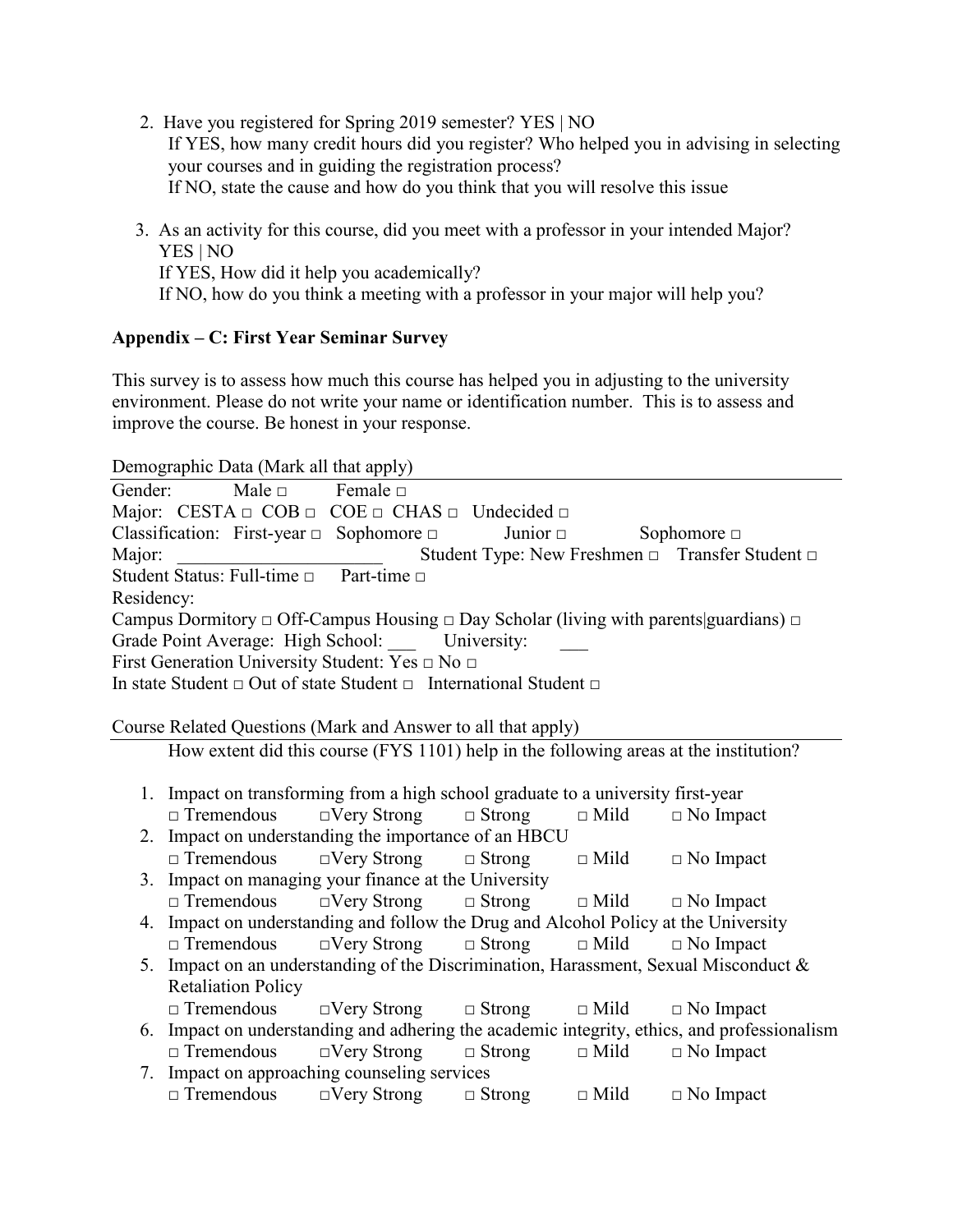2. Have you registered for Spring 2019 semester? YES | NO If YES, how many credit hours did you register? Who helped you in advising in selecting your courses and in guiding the registration process? If NO, state the cause and how do you think that you will resolve this issue

 3. As an activity for this course, did you meet with a professor in your intended Major? YES | NO If YES, How did it help you academically? If NO, how do you think a meeting with a professor in your major will help you?

## **Appendix – C: First Year Seminar Survey**

This survey is to assess how much this course has helped you in adjusting to the university environment. Please do not write your name or identification number. This is to assess and improve the course. Be honest in your response.

Demographic Data (Mark all that apply)

| Gender:    | Male $\Box$                                                                                          | Female $\Box$      |               |             |                                                                                             |
|------------|------------------------------------------------------------------------------------------------------|--------------------|---------------|-------------|---------------------------------------------------------------------------------------------|
|            | Major: CESTA $\Box$ COB $\Box$ COE $\Box$ CHAS $\Box$ Undecided $\Box$                               |                    |               |             |                                                                                             |
|            | Classification: First-year $\Box$ Sophomore $\Box$                                                   |                    | Junior $\Box$ |             | Sophomore $\Box$                                                                            |
| Major:     |                                                                                                      |                    |               |             | Student Type: New Freshmen □ Transfer Student □                                             |
|            | Student Status: Full-time $\Box$                                                                     | Part-time □        |               |             |                                                                                             |
| Residency: |                                                                                                      |                    |               |             |                                                                                             |
|            | Campus Dormitory $\Box$ Off-Campus Housing $\Box$ Day Scholar (living with parents guardians) $\Box$ |                    |               |             |                                                                                             |
|            | Grade Point Average: High School: University:                                                        |                    |               |             |                                                                                             |
|            | First Generation University Student: Yes □ No □                                                      |                    |               |             |                                                                                             |
|            | In state Student $\Box$ Out of state Student $\Box$ International Student $\Box$                     |                    |               |             |                                                                                             |
|            |                                                                                                      |                    |               |             |                                                                                             |
|            | Course Related Questions (Mark and Answer to all that apply)                                         |                    |               |             |                                                                                             |
|            | How extent did this course (FYS 1101) help in the following areas at the institution?                |                    |               |             |                                                                                             |
|            |                                                                                                      |                    |               |             |                                                                                             |
|            | 1. Impact on transforming from a high school graduate to a university first-year                     |                    |               |             |                                                                                             |
|            | $\Box$ Tremendous                                                                                    | $\Box$ Very Strong | $\Box$ Strong | $\Box$ Mild | $\Box$ No Impact                                                                            |
|            | 2. Impact on understanding the importance of an HBCU                                                 |                    |               |             |                                                                                             |
|            | $\Box$ Tremendous                                                                                    | $\Box$ Very Strong | $\Box$ Strong | $\Box$ Mild | $\Box$ No Impact                                                                            |
|            | 3. Impact on managing your finance at the University                                                 |                    |               |             |                                                                                             |
|            | $\Box$ Tremendous                                                                                    | $\Box$ Very Strong | $\Box$ Strong |             | $\Box$ Mild $\Box$ No Impact                                                                |
| 4.         | Impact on understanding and follow the Drug and Alcohol Policy at the University                     |                    |               |             |                                                                                             |
|            | $\Box$ Tremendous                                                                                    | $\Box$ Very Strong | $\Box$ Strong | $\Box$ Mild | $\Box$ No Impact                                                                            |
|            | 5. Impact on an understanding of the Discrimination, Harassment, Sexual Misconduct &                 |                    |               |             |                                                                                             |
|            | <b>Retaliation Policy</b>                                                                            |                    |               |             |                                                                                             |
|            | $\Box$ Tremendous                                                                                    | $\Box$ Very Strong | $\Box$ Strong | $\Box$ Mild | $\Box$ No Impact                                                                            |
|            |                                                                                                      |                    |               |             | 6. Impact on understanding and adhering the academic integrity, ethics, and professionalism |
|            | $\Box$ Tremendous                                                                                    | $\Box$ Very Strong | $\Box$ Strong | $\Box$ Mild | $\Box$ No Impact                                                                            |
| 7.         | Impact on approaching counseling services                                                            |                    |               |             |                                                                                             |
|            | $\Box$ Tremendous                                                                                    | $\Box$ Very Strong | $\Box$ Strong | $\Box$ Mild | $\Box$ No Impact                                                                            |